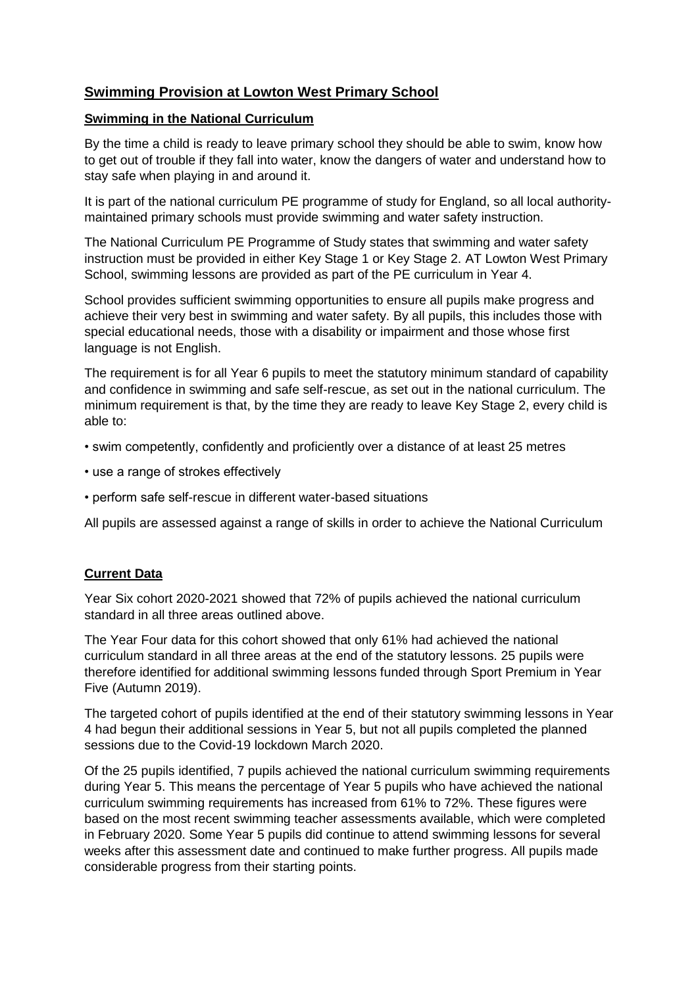# **Swimming Provision at Lowton West Primary School**

# **Swimming in the National Curriculum**

By the time a child is ready to leave primary school they should be able to swim, know how to get out of trouble if they fall into water, know the dangers of water and understand how to stay safe when playing in and around it.

It is part of the national curriculum PE programme of study for England, so all local authoritymaintained primary schools must provide swimming and water safety instruction.

The National Curriculum PE Programme of Study states that swimming and water safety instruction must be provided in either Key Stage 1 or Key Stage 2. AT Lowton West Primary School, swimming lessons are provided as part of the PE curriculum in Year 4.

School provides sufficient swimming opportunities to ensure all pupils make progress and achieve their very best in swimming and water safety. By all pupils, this includes those with special educational needs, those with a disability or impairment and those whose first language is not English.

The requirement is for all Year 6 pupils to meet the statutory minimum standard of capability and confidence in swimming and safe self-rescue, as set out in the national curriculum. The minimum requirement is that, by the time they are ready to leave Key Stage 2, every child is able to:

- swim competently, confidently and proficiently over a distance of at least 25 metres
- use a range of strokes effectively
- perform safe self-rescue in different water-based situations

All pupils are assessed against a range of skills in order to achieve the National Curriculum

## **Current Data**

Year Six cohort 2020-2021 showed that 72% of pupils achieved the national curriculum standard in all three areas outlined above.

The Year Four data for this cohort showed that only 61% had achieved the national curriculum standard in all three areas at the end of the statutory lessons. 25 pupils were therefore identified for additional swimming lessons funded through Sport Premium in Year Five (Autumn 2019).

The targeted cohort of pupils identified at the end of their statutory swimming lessons in Year 4 had begun their additional sessions in Year 5, but not all pupils completed the planned sessions due to the Covid-19 lockdown March 2020.

Of the 25 pupils identified, 7 pupils achieved the national curriculum swimming requirements during Year 5. This means the percentage of Year 5 pupils who have achieved the national curriculum swimming requirements has increased from 61% to 72%. These figures were based on the most recent swimming teacher assessments available, which were completed in February 2020. Some Year 5 pupils did continue to attend swimming lessons for several weeks after this assessment date and continued to make further progress. All pupils made considerable progress from their starting points.